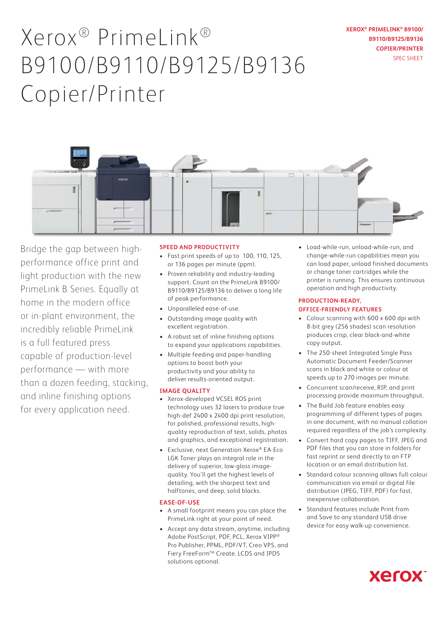# Xerox® PrimeLink® B9100/B9110/B9125/B9136 Copier/Printer

**XEROX® PRIMELINK® B9100/ B9110/B9125/B9136 COPIER/PRINTER** SPEC SHEET



Bridge the gap between highperformance office print and light production with the new PrimeLink B Series. Equally at home in the modern office or in-plant environment, the incredibly reliable PrimeLink is a full featured press capable of production-level performance — with more than a dozen feeding, stacking, and inline finishing options for every application need.

## **SPEED AND PRODUCTIVITY**

- Fast print speeds of up to 100, 110, 125, or 136 pages per minute (ppm).
- Proven reliability and industry-leading support. Count on the PrimeLink B9100/ B9110/B9125/B9136 to deliver a long life of peak performance.
- Unparalleled ease-of-use.
- Outstanding image quality with excellent registration.
- A robust set of inline finishing options to expand your applications capabilities.
- Multiple feeding and paper-handling options to boost both your productivity and your ability to deliver results-oriented output.

#### **IMAGE QUALITY**

- Xerox-developed VCSEL ROS print technology uses 32 lasers to produce true high-def 2400 x 2400 dpi print resolution, for polished, professional results, highquality reproduction of text, solids, photos and graphics, and exceptional registration.
- Exclusive, next Generation Xerox® EA-Eco LGK Toner plays an integral role in the delivery of superior, low-gloss imagequality. You'll get the highest levels of detailing, with the sharpest text and halftones, and deep, solid blacks.

### **EASE-OF-USE**

- A small footprint means you can place the PrimeLink right at your point of need.
- Accept any data stream, anytime, including Adobe PostScript, PDF, PCL, Xerox VIPP® Pro Publisher, PPML, PDF/VT, Creo VPS, and Fiery FreeForm™ Create. LCDS and IPDS solutions optional.

• Load-while-run, unload-while-run, and change-while-run capabilities mean you can load paper, unload finished documents or change toner cartridges while the printer is running. This ensures continuous operation and high productivity.

#### **PRODUCTION-READY, OFFICE-FRIENDLY FEATURES**

- Colour scanning with 600 x 600 dpi with 8-bit grey (256 shades) scan resolution produces crisp, clear black-and-white copy output.
- The 250-sheet Integrated Single Pass Automatic Document Feeder/Scanner scans in black and white or colour at speeds up to 270 images per minute.
- Concurrent scan/receive, RIP, and print processing provide maximum throughput.
- The Build Job feature enables easy programming of different types of pages in one document, with no manual collation required regardless of the job's complexity.
- Convert hard copy pages to TIFF, JPEG and PDF files that you can store in folders for fast reprint or send directly to an FTP location or an email distribution list.
- Standard colour scanning allows full-colour communication via email or digital file distribution (JPEG, TIFF, PDF) for fast, inexpensive collaboration.
- Standard features include Print from and Save to any standard USB drive device for easy walk-up convenience.